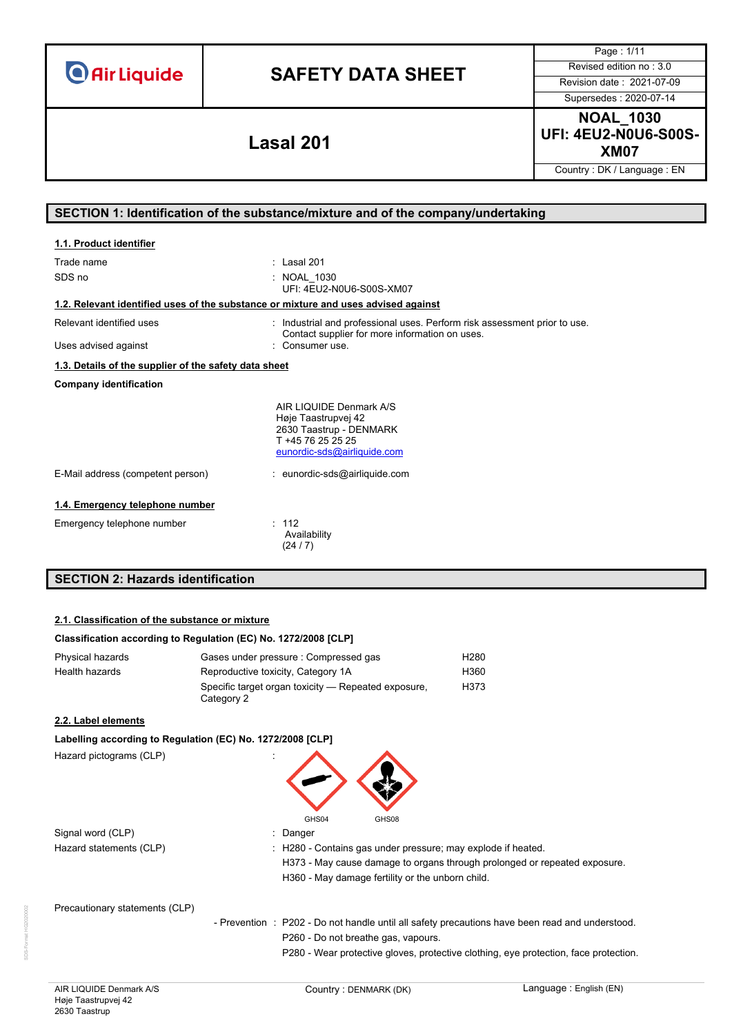# **SAFETY DATA SHEET** Revised edition no : 3.0

Page : 1/11

Supersedes : 2020-07-14

**NOAL\_1030 UFI: 4EU2-N0U6-S00S-XM07 Lasal 201**

Country : DK / Language : EN

# **SECTION 1: Identification of the substance/mixture and of the company/undertaking**

| 1.1. Product identifier                                                            |                                                                                                                                              |
|------------------------------------------------------------------------------------|----------------------------------------------------------------------------------------------------------------------------------------------|
| Trade name<br>SDS no                                                               | : Lasal 201<br>NOAL 1030<br>UFI: 4EU2-N0U6-S00S-XM07                                                                                         |
| 1.2. Relevant identified uses of the substance or mixture and uses advised against |                                                                                                                                              |
| Relevant identified uses<br>Uses advised against                                   | : Industrial and professional uses. Perform risk assessment prior to use.<br>Contact supplier for more information on uses.<br>Consumer use. |
| 1.3. Details of the supplier of the safety data sheet                              |                                                                                                                                              |
| <b>Company identification</b>                                                      |                                                                                                                                              |
|                                                                                    | AIR LIQUIDE Denmark A/S<br>Høje Taastrupvej 42<br>2630 Taastrup - DENMARK<br>T +45 76 25 25 25<br>eunordic-sds@airliquide.com                |
| E-Mail address (competent person)                                                  | : eunordic-sds@airliquide.com                                                                                                                |
| 1.4. Emergency telephone number<br>Emergency telephone number                      | : 112<br>Availability<br>(24/7)                                                                                                              |
| <b>SECTION 2: Hazards identification</b>                                           |                                                                                                                                              |

### **2.1. Classification of the substance or mixture**

### **Classification according to Regulation (EC) No. 1272/2008 [CLP]**

| Physical hazards | Gases under pressure : Compressed gas                             | H280 |
|------------------|-------------------------------------------------------------------|------|
| Health hazards   | Reproductive toxicity, Category 1A                                | H360 |
|                  | Specific target organ toxicity — Repeated exposure,<br>Category 2 | H373 |

### **2.2. Label elements**

### **Labelling according to Regulation (EC) No. 1272/2008 [CLP]**

Hazard pictograms (CLP)



Signal word (CLP) **in the set of the Signal word (CLP)** and the set of the set of the Signal and the Signal and Si

Hazard statements (CLP) : H280 - Contains gas under pressure; may explode if heated. H373 - May cause damage to organs through prolonged or repeated exposure. H360 - May damage fertility or the unborn child.

Precautionary statements (CLP)

- Prevention : P202 - Do not handle until all safety precautions have been read and understood. P260 - Do not breathe gas, vapours.

P280 - Wear protective gloves, protective clothing, eye protection, face protection.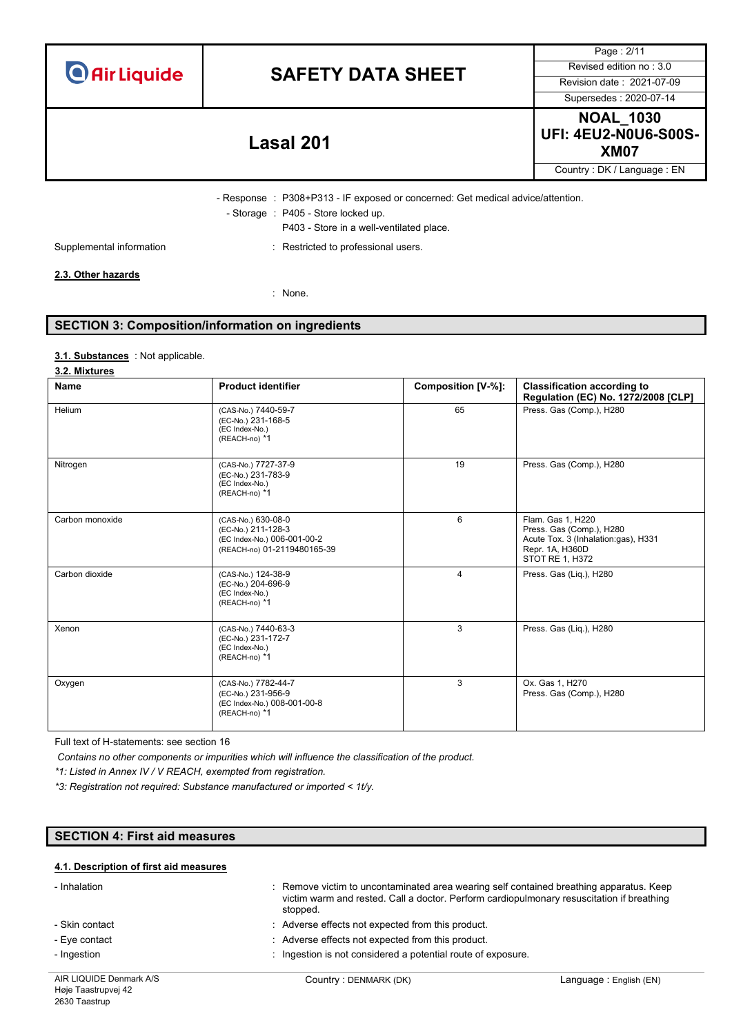|  | <b>O</b> Air Liquide |  |
|--|----------------------|--|
|  |                      |  |

# **SAFETY DATA SHEET** Revised edition no : 3.0

Supersedes : 2020-07-14

Page : 2/11

**NOAL\_1030 UFI: 4EU2-N0U6-S00S-XM07 Lasal 201**

Country : DK / Language : EN

- Response : P308+P313 - IF exposed or concerned: Get medical advice/attention. - Storage : P405 - Store locked up.

P403 - Store in a well-ventilated place.

Supplemental information **interest in the CO** is restricted to professional users.

### **2.3. Other hazards**

: None.

# **SECTION 3: Composition/information on ingredients**

### : Not applicable. **3.1. Substances**

### **3.2. Mixtures**

| <b>Name</b>     | <b>Product identifier</b>                                                                              | Composition [V-%]: | <b>Classification according to</b><br>Regulation (EC) No. 1272/2008 [CLP]                                                  |
|-----------------|--------------------------------------------------------------------------------------------------------|--------------------|----------------------------------------------------------------------------------------------------------------------------|
| Helium          | (CAS-No.) 7440-59-7<br>(EC-No.) 231-168-5<br>(EC Index-No.)<br>(REACH-no) *1                           | 65                 | Press. Gas (Comp.), H280                                                                                                   |
| Nitrogen        | (CAS-No.) 7727-37-9<br>(EC-No.) 231-783-9<br>(EC Index-No.)<br>(REACH-no) *1                           | 19                 | Press. Gas (Comp.), H280                                                                                                   |
| Carbon monoxide | (CAS-No.) 630-08-0<br>(EC-No.) 211-128-3<br>(EC Index-No.) 006-001-00-2<br>(REACH-no) 01-2119480165-39 | 6                  | Flam. Gas 1. H220<br>Press. Gas (Comp.), H280<br>Acute Tox. 3 (Inhalation:gas), H331<br>Repr. 1A, H360D<br>STOT RE 1, H372 |
| Carbon dioxide  | (CAS-No.) 124-38-9<br>(EC-No.) 204-696-9<br>(EC Index-No.)<br>(REACH-no) *1                            | 4                  | Press. Gas (Lig.), H280                                                                                                    |
| Xenon           | (CAS-No.) 7440-63-3<br>(EC-No.) 231-172-7<br>(EC Index-No.)<br>(REACH-no) *1                           | 3                  | Press. Gas (Lig.), H280                                                                                                    |
| Oxygen          | (CAS-No.) 7782-44-7<br>(EC-No.) 231-956-9<br>(EC Index-No.) 008-001-00-8<br>(REACH-no) *1              | 3                  | Ox. Gas 1, H270<br>Press. Gas (Comp.), H280                                                                                |

Full text of H-statements: see section 16

*Contains no other components or impurities which will influence the classification of the product.*

*\*1: Listed in Annex IV / V REACH, exempted from registration.*

*\*3: Registration not required: Substance manufactured or imported < 1t/y.*

# **SECTION 4: First aid measures**

### **4.1. Description of first aid measures**

| - Inhalation            | stopped.                                                     | : Remove victim to uncontaminated area wearing self contained breathing apparatus. Keep<br>victim warm and rested. Call a doctor. Perform cardiopulmonary resuscitation if breathing |  |
|-------------------------|--------------------------------------------------------------|--------------------------------------------------------------------------------------------------------------------------------------------------------------------------------------|--|
| - Skin contact          | : Adverse effects not expected from this product.            |                                                                                                                                                                                      |  |
| - Eye contact           | : Adverse effects not expected from this product.            |                                                                                                                                                                                      |  |
| - Ingestion             | : Ingestion is not considered a potential route of exposure. |                                                                                                                                                                                      |  |
| AIR LIQUIDE Denmark A/S | Country: DENMARK (DK)                                        | Language : English (EN)                                                                                                                                                              |  |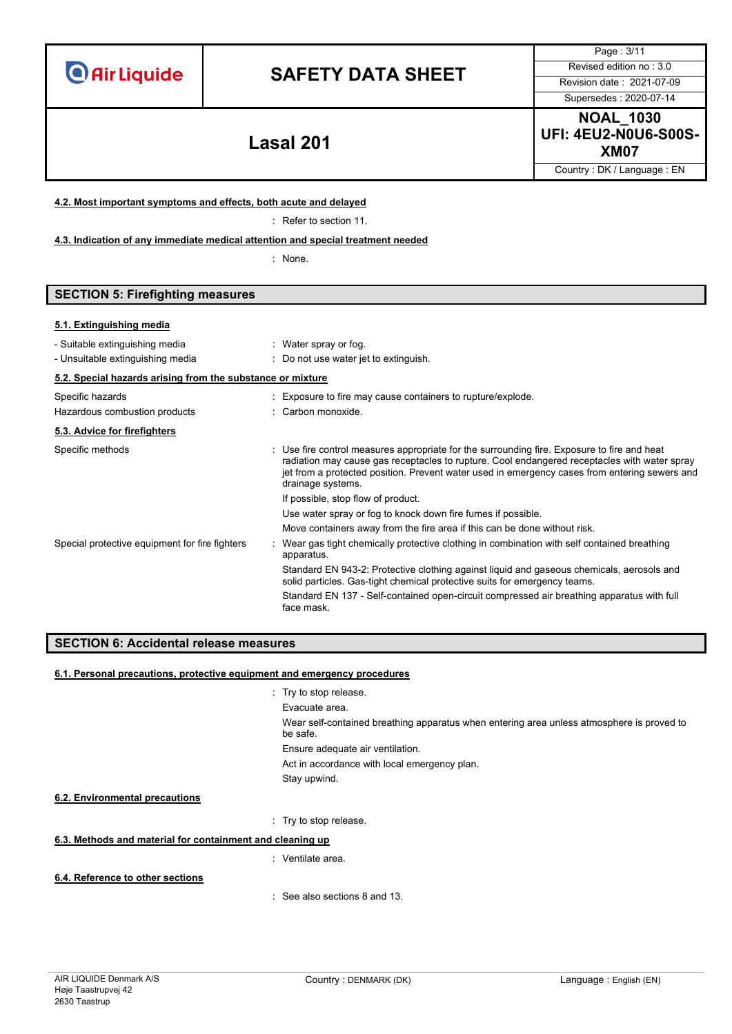# **SAFETY DATA SHEET** Revised edition no : 3.0

Supersedes : 2020-07-14

Page : 3/11

**NOAL\_1030 UFI: 4EU2-N0U6-S00S-XM07 Lasal 201**

Country : DK / Language : EN

### **4.2. Most important symptoms and effects, both acute and delayed**

: Refer to section 11.

**4.3. Indication of any immediate medical attention and special treatment needed**

: None.

# **SECTION 5: Firefighting measures**

### **5.1. Extinguishing media**

| - Suitable extinguishing media<br>- Unsuitable extinguishing media | : Water spray or fog.<br>: Do not use water jet to extinguish.                                                                                                                                                                                                                                                    |
|--------------------------------------------------------------------|-------------------------------------------------------------------------------------------------------------------------------------------------------------------------------------------------------------------------------------------------------------------------------------------------------------------|
| 5.2. Special hazards arising from the substance or mixture         |                                                                                                                                                                                                                                                                                                                   |
| Specific hazards                                                   | : Exposure to fire may cause containers to rupture/explode.                                                                                                                                                                                                                                                       |
| Hazardous combustion products                                      | : Carbon monoxide.                                                                                                                                                                                                                                                                                                |
| 5.3. Advice for firefighters                                       |                                                                                                                                                                                                                                                                                                                   |
| Specific methods                                                   | : Use fire control measures appropriate for the surrounding fire. Exposure to fire and heat<br>radiation may cause gas receptacles to rupture. Cool endangered receptacles with water spray<br>jet from a protected position. Prevent water used in emergency cases from entering sewers and<br>drainage systems. |
|                                                                    | If possible, stop flow of product.                                                                                                                                                                                                                                                                                |
|                                                                    | Use water spray or fog to knock down fire fumes if possible.                                                                                                                                                                                                                                                      |
|                                                                    | Move containers away from the fire area if this can be done without risk.                                                                                                                                                                                                                                         |
| Special protective equipment for fire fighters                     | : Wear gas tight chemically protective clothing in combination with self contained breathing<br>apparatus.                                                                                                                                                                                                        |
|                                                                    | Standard EN 943-2: Protective clothing against liquid and gaseous chemicals, aerosols and<br>solid particles. Gas-tight chemical protective suits for emergency teams.                                                                                                                                            |
|                                                                    | Standard EN 137 - Self-contained open-circuit compressed air breathing apparatus with full<br>face mask.                                                                                                                                                                                                          |

## **SECTION 6: Accidental release measures**

### **6.1. Personal precautions, protective equipment and emergency procedures**

- : Try to stop release.
- Evacuate area.

Wear self-contained breathing apparatus when entering area unless atmosphere is proved to be safe.

Ensure adequate air ventilation.

Act in accordance with local emergency plan.

Stay upwind.

### **6.2. Environmental precautions**

: Try to stop release.

## **6.3. Methods and material for containment and cleaning up**

: Ventilate area.

### **6.4. Reference to other sections**

: See also sections 8 and 13.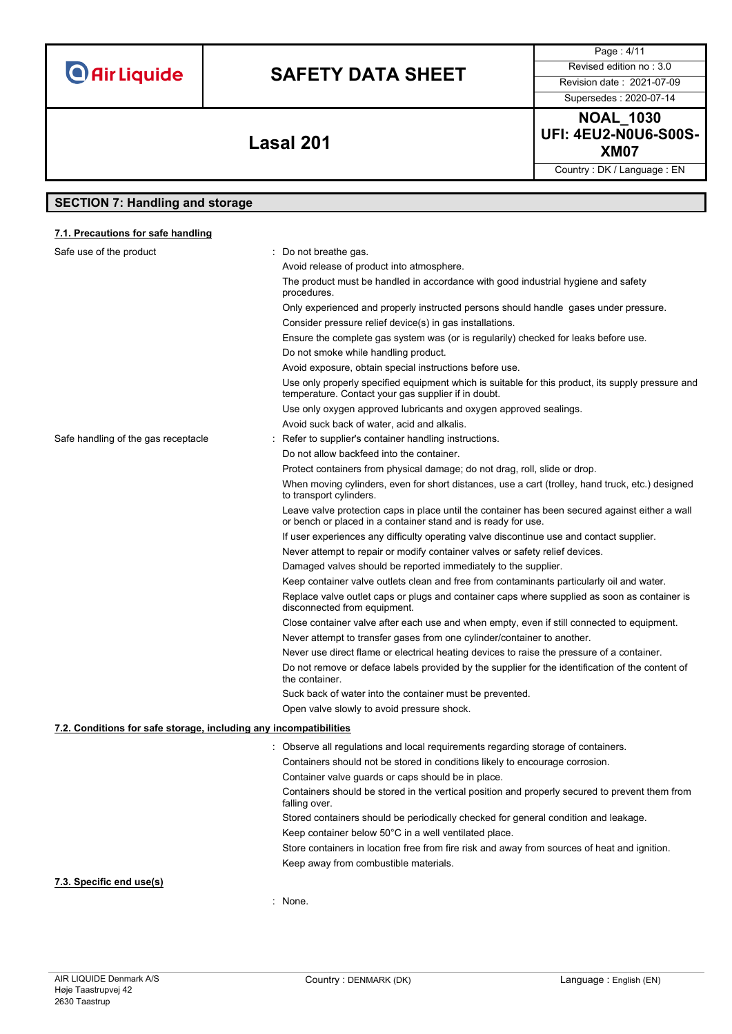| <b>O</b> Air Liquide |  |  |
|----------------------|--|--|
|                      |  |  |

# **SAFETY DATA SHEET** Revised edition no : 3.0

Supersedes : 2020-07-14

Page : 4/11

**NOAL\_1030 UFI: 4EU2-N0U6-S00S-XM07 Lasal 201**

Country : DK / Language : EN

# **SECTION 7: Handling and storage**

## **7.1. Precautions for safe handling**

| Safe use of the product                                           | : Do not breathe gas.                                                                                                                                            |
|-------------------------------------------------------------------|------------------------------------------------------------------------------------------------------------------------------------------------------------------|
|                                                                   | Avoid release of product into atmosphere.                                                                                                                        |
|                                                                   | The product must be handled in accordance with good industrial hygiene and safety<br>procedures.                                                                 |
|                                                                   | Only experienced and properly instructed persons should handle gases under pressure.                                                                             |
|                                                                   | Consider pressure relief device(s) in gas installations.                                                                                                         |
|                                                                   | Ensure the complete gas system was (or is regularily) checked for leaks before use.                                                                              |
|                                                                   | Do not smoke while handling product.                                                                                                                             |
|                                                                   | Avoid exposure, obtain special instructions before use.                                                                                                          |
|                                                                   | Use only properly specified equipment which is suitable for this product, its supply pressure and<br>temperature. Contact your gas supplier if in doubt.         |
|                                                                   | Use only oxygen approved lubricants and oxygen approved sealings.                                                                                                |
|                                                                   | Avoid suck back of water, acid and alkalis.                                                                                                                      |
| Safe handling of the gas receptacle                               | Refer to supplier's container handling instructions.                                                                                                             |
|                                                                   | Do not allow backfeed into the container.                                                                                                                        |
|                                                                   | Protect containers from physical damage; do not drag, roll, slide or drop.                                                                                       |
|                                                                   | When moving cylinders, even for short distances, use a cart (trolley, hand truck, etc.) designed<br>to transport cylinders.                                      |
|                                                                   | Leave valve protection caps in place until the container has been secured against either a wall<br>or bench or placed in a container stand and is ready for use. |
|                                                                   | If user experiences any difficulty operating valve discontinue use and contact supplier.                                                                         |
|                                                                   | Never attempt to repair or modify container valves or safety relief devices.                                                                                     |
|                                                                   | Damaged valves should be reported immediately to the supplier.                                                                                                   |
|                                                                   | Keep container valve outlets clean and free from contaminants particularly oil and water.                                                                        |
|                                                                   | Replace valve outlet caps or plugs and container caps where supplied as soon as container is<br>disconnected from equipment.                                     |
|                                                                   | Close container valve after each use and when empty, even if still connected to equipment.                                                                       |
|                                                                   | Never attempt to transfer gases from one cylinder/container to another.                                                                                          |
|                                                                   | Never use direct flame or electrical heating devices to raise the pressure of a container.                                                                       |
|                                                                   | Do not remove or deface labels provided by the supplier for the identification of the content of<br>the container.                                               |
|                                                                   | Suck back of water into the container must be prevented.                                                                                                         |
|                                                                   | Open valve slowly to avoid pressure shock.                                                                                                                       |
| 7.2. Conditions for safe storage, including any incompatibilities |                                                                                                                                                                  |
|                                                                   | : Observe all regulations and local requirements regarding storage of containers.                                                                                |
|                                                                   | Containers should not be stored in conditions likely to encourage corrosion.                                                                                     |
|                                                                   | Container valve guards or caps should be in place.                                                                                                               |
|                                                                   | Containers should be stored in the vertical position and properly secured to prevent them from<br>falling over.                                                  |
|                                                                   | Stored containers should be periodically checked for general condition and leakage.                                                                              |
|                                                                   | Keep container below 50°C in a well ventilated place.                                                                                                            |
|                                                                   | Store containers in location free from fire risk and away from sources of heat and ignition.                                                                     |
|                                                                   | Keep away from combustible materials.                                                                                                                            |

## **7.3. Specific end use(s)**

: None.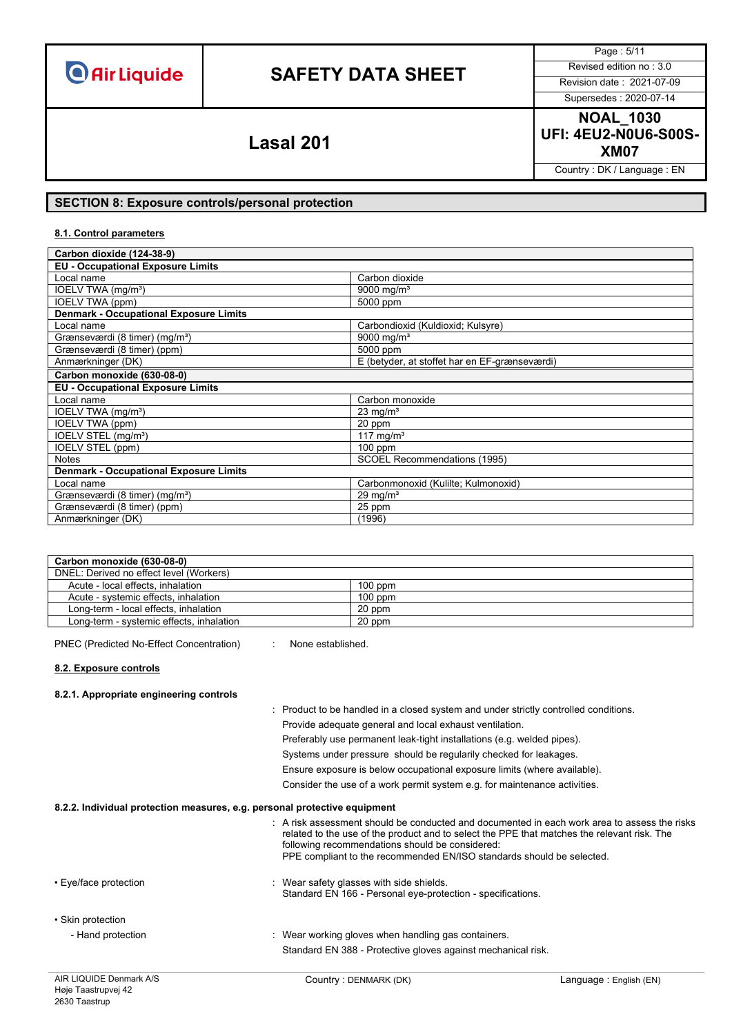# **SAFETY DATA SHEET** Revised edition no : 3.0

Page : 5/11

# Supersedes : 2020-07-14

**NOAL\_1030 UFI: 4EU2-N0U6-S00S-XM07 Lasal 201**

Country : DK / Language : EN

### **SECTION 8: Exposure controls/personal protection**

### **8.1. Control parameters**

| Carbon dioxide (124-38-9)                     |                                               |  |
|-----------------------------------------------|-----------------------------------------------|--|
| <b>EU - Occupational Exposure Limits</b>      |                                               |  |
| Local name                                    | Carbon dioxide                                |  |
| IOELV TWA (mg/m <sup>3</sup> )                | 9000 mg/m <sup>3</sup>                        |  |
| IOELV TWA (ppm)                               | 5000 ppm                                      |  |
| <b>Denmark - Occupational Exposure Limits</b> |                                               |  |
| Local name                                    | Carbondioxid (Kuldioxid; Kulsyre)             |  |
| Grænseværdi (8 timer) (mg/m <sup>3</sup> )    | 9000 mg/m <sup>3</sup>                        |  |
| Grænseværdi (8 timer) (ppm)                   | 5000 ppm                                      |  |
| Anmærkninger (DK)                             | E (betyder, at stoffet har en EF-grænseværdi) |  |
| Carbon monoxide (630-08-0)                    |                                               |  |
| <b>EU - Occupational Exposure Limits</b>      |                                               |  |
| Local name                                    | Carbon monoxide                               |  |
| IOELV TWA (mg/m <sup>3</sup> )                | $23 \text{ mg/m}^3$                           |  |
| IOELV TWA (ppm)                               | 20 ppm                                        |  |
| IOELV STEL (mg/m <sup>3</sup> )               | 117 mg/m <sup>3</sup>                         |  |
| IOELV STEL (ppm)                              | $100$ ppm                                     |  |
| <b>Notes</b>                                  | SCOEL Recommendations (1995)                  |  |
| <b>Denmark - Occupational Exposure Limits</b> |                                               |  |
| Local name                                    | Carbonmonoxid (Kulilte; Kulmonoxid)           |  |
| Grænseværdi (8 timer) (mg/m <sup>3</sup> )    | $29 \text{ mg/m}^3$                           |  |
| Grænseværdi (8 timer) (ppm)                   | $25$ ppm                                      |  |
| Anmærkninger (DK)                             | (1996)                                        |  |

| Carbon monoxide (630-08-0)               |           |
|------------------------------------------|-----------|
| DNEL: Derived no effect level (Workers)  |           |
| Acute - local effects, inhalation        | $100$ ppm |
| Acute - systemic effects, inhalation     | $100$ ppm |
| Long-term - local effects, inhalation    | 20 ppm    |
| Long-term - systemic effects, inhalation | 20 ppm    |

PNEC (Predicted No-Effect Concentration) : None established.

### **8.2. Exposure controls**

### **8.2.1. Appropriate engineering controls**

- : Product to be handled in a closed system and under strictly controlled conditions. Provide adequate general and local exhaust ventilation. Preferably use permanent leak-tight installations (e.g. welded pipes). Systems under pressure should be regularily checked for leakages. Ensure exposure is below occupational exposure limits (where available). Consider the use of a work permit system e.g. for maintenance activities. **8.2.2. Individual protection measures, e.g. personal protective equipment** : A risk assessment should be conducted and documented in each work area to assess the risks related to the use of the product and to select the PPE that matches the relevant risk. The following recommendations should be considered: PPE compliant to the recommended EN/ISO standards should be selected. • Eve/face protection **in the same of the set of the set of the set of the shields.** Standard EN 166 - Personal eye-protection - specifications. • Skin protection - Hand protection **in the state of the state of the state were** working gloves when handling gas containers.
	-

Standard EN 388 - Protective gloves against mechanical risk.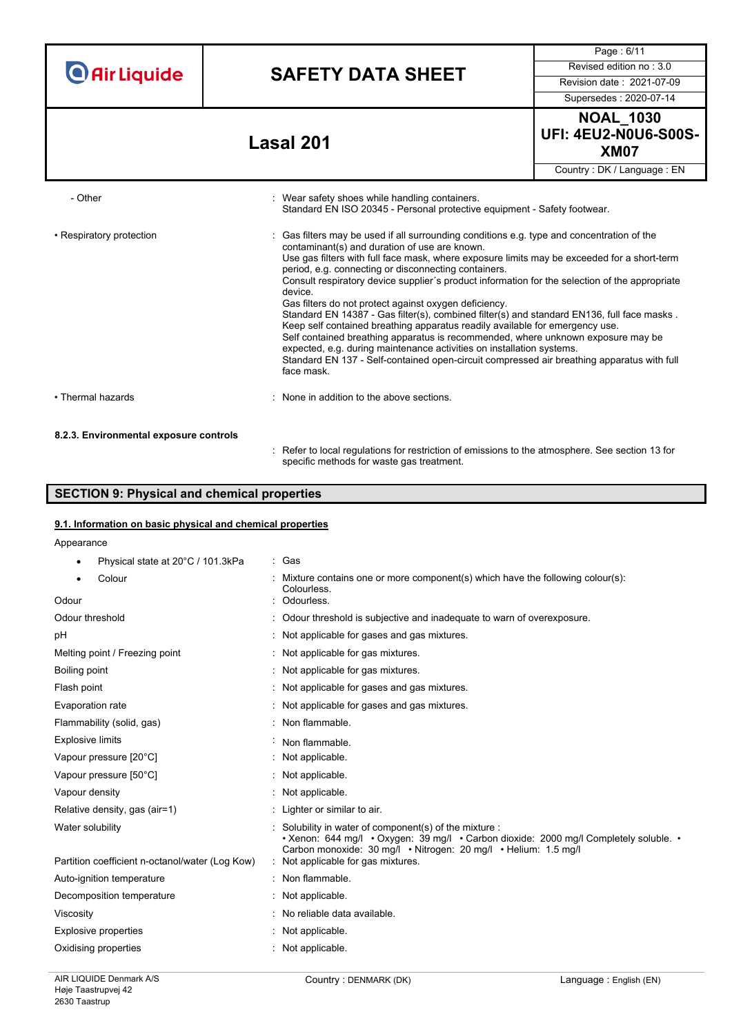|                                        |                                                                                                                                                                                         | Page: 6/11                                                                                                                                                                                                                                                                                                                                                                                                                                                                                                                                                                                                                                                                                                                         |  |
|----------------------------------------|-----------------------------------------------------------------------------------------------------------------------------------------------------------------------------------------|------------------------------------------------------------------------------------------------------------------------------------------------------------------------------------------------------------------------------------------------------------------------------------------------------------------------------------------------------------------------------------------------------------------------------------------------------------------------------------------------------------------------------------------------------------------------------------------------------------------------------------------------------------------------------------------------------------------------------------|--|
| <b>O</b> Air Liquide                   | <b>SAFETY DATA SHEET</b>                                                                                                                                                                | Revised edition no: 3.0                                                                                                                                                                                                                                                                                                                                                                                                                                                                                                                                                                                                                                                                                                            |  |
|                                        |                                                                                                                                                                                         | Revision date: 2021-07-09                                                                                                                                                                                                                                                                                                                                                                                                                                                                                                                                                                                                                                                                                                          |  |
|                                        |                                                                                                                                                                                         | Supersedes: 2020-07-14                                                                                                                                                                                                                                                                                                                                                                                                                                                                                                                                                                                                                                                                                                             |  |
|                                        | <b>Lasal 201</b>                                                                                                                                                                        | <b>NOAL_1030</b><br><b>UFI: 4EU2-N0U6-S00S-</b><br><b>XM07</b>                                                                                                                                                                                                                                                                                                                                                                                                                                                                                                                                                                                                                                                                     |  |
|                                        |                                                                                                                                                                                         | Country: DK / Language: EN                                                                                                                                                                                                                                                                                                                                                                                                                                                                                                                                                                                                                                                                                                         |  |
| - Other                                | : Wear safety shoes while handling containers.                                                                                                                                          | Standard EN ISO 20345 - Personal protective equipment - Safety footwear.                                                                                                                                                                                                                                                                                                                                                                                                                                                                                                                                                                                                                                                           |  |
| • Respiratory protection               | contaminant(s) and duration of use are known.<br>period, e.g. connecting or disconnecting containers.<br>device.<br>Gas filters do not protect against oxygen deficiency.<br>face mask. | Gas filters may be used if all surrounding conditions e.g. type and concentration of the<br>Use gas filters with full face mask, where exposure limits may be exceeded for a short-term<br>Consult respiratory device supplier's product information for the selection of the appropriate<br>Standard EN 14387 - Gas filter(s), combined filter(s) and standard EN136, full face masks.<br>Keep self contained breathing apparatus readily available for emergency use.<br>Self contained breathing apparatus is recommended, where unknown exposure may be<br>expected, e.g. during maintenance activities on installation systems.<br>Standard EN 137 - Self-contained open-circuit compressed air breathing apparatus with full |  |
| • Thermal hazards                      | : None in addition to the above sections.                                                                                                                                               |                                                                                                                                                                                                                                                                                                                                                                                                                                                                                                                                                                                                                                                                                                                                    |  |
| 8.2.3. Environmental exposure controls |                                                                                                                                                                                         |                                                                                                                                                                                                                                                                                                                                                                                                                                                                                                                                                                                                                                                                                                                                    |  |
|                                        | Refer to local regulations for restriction of emissions to the atmosphere. See section 13 for<br>specific methods for waste gas treatment.                                              |                                                                                                                                                                                                                                                                                                                                                                                                                                                                                                                                                                                                                                                                                                                                    |  |

# **SECTION 9: Physical and chemical properties**

## **9.1. Information on basic physical and chemical properties**

Appearance

| Physical state at 20°C / 101.3kPa               | : Gas                                                                                                                                                                                                            |
|-------------------------------------------------|------------------------------------------------------------------------------------------------------------------------------------------------------------------------------------------------------------------|
| Colour<br>٠                                     | : Mixture contains one or more component(s) which have the following colour(s):<br>Colourless.                                                                                                                   |
| Odour                                           | Odourless.                                                                                                                                                                                                       |
| Odour threshold                                 | Odour threshold is subjective and inadequate to warn of overexposure.                                                                                                                                            |
| pH                                              | : Not applicable for gases and gas mixtures.                                                                                                                                                                     |
| Melting point / Freezing point                  | : Not applicable for gas mixtures.                                                                                                                                                                               |
| Boiling point                                   | : Not applicable for gas mixtures.                                                                                                                                                                               |
| Flash point                                     | : Not applicable for gases and gas mixtures.                                                                                                                                                                     |
| Evaporation rate                                | : Not applicable for gases and gas mixtures.                                                                                                                                                                     |
| Flammability (solid, gas)                       | : Non flammable.                                                                                                                                                                                                 |
| <b>Explosive limits</b>                         | Non flammable.                                                                                                                                                                                                   |
| Vapour pressure [20°C]                          | : Not applicable.                                                                                                                                                                                                |
| Vapour pressure [50°C]                          | : Not applicable.                                                                                                                                                                                                |
| Vapour density                                  | : Not applicable.                                                                                                                                                                                                |
| Relative density, gas (air=1)                   | : Lighter or similar to air.                                                                                                                                                                                     |
| Water solubility                                | Solubility in water of component(s) of the mixture :<br>• Xenon: 644 mg/l • Oxygen: 39 mg/l • Carbon dioxide: 2000 mg/l Completely soluble. •<br>Carbon monoxide: 30 mg/l . Nitrogen: 20 mg/l . Helium: 1.5 mg/l |
| Partition coefficient n-octanol/water (Log Kow) | : Not applicable for gas mixtures.                                                                                                                                                                               |
| Auto-ignition temperature                       | : Non flammable.                                                                                                                                                                                                 |
| Decomposition temperature                       | : Not applicable.                                                                                                                                                                                                |
| Viscosity                                       | : No reliable data available.                                                                                                                                                                                    |
| <b>Explosive properties</b>                     | : Not applicable.                                                                                                                                                                                                |
| Oxidising properties                            | : Not applicable.                                                                                                                                                                                                |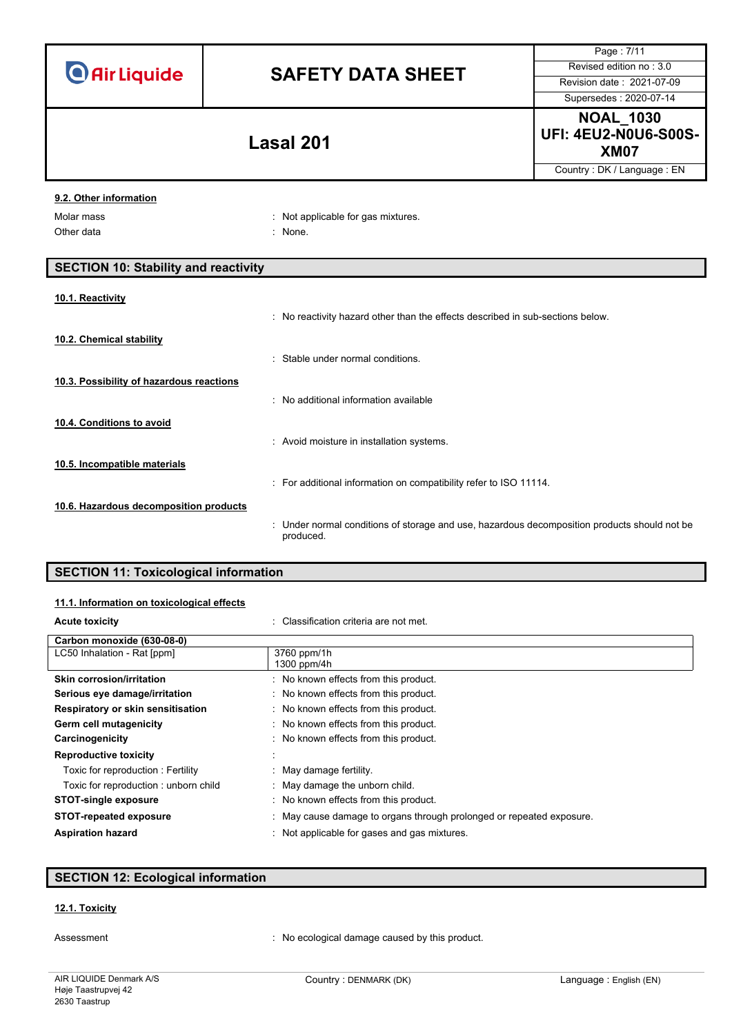|                                                    |                                                                                                           | Page: 7/11                                                     |
|----------------------------------------------------|-----------------------------------------------------------------------------------------------------------|----------------------------------------------------------------|
| <b>O</b> Air Liquide                               | <b>SAFETY DATA SHEET</b>                                                                                  | Revised edition no: 3.0                                        |
|                                                    |                                                                                                           | Revision date: 2021-07-09                                      |
|                                                    |                                                                                                           | Supersedes: 2020-07-14                                         |
|                                                    | <b>Lasal 201</b>                                                                                          | <b>NOAL_1030</b><br><b>UFI: 4EU2-N0U6-S00S-</b><br><b>XM07</b> |
|                                                    |                                                                                                           | Country: DK / Language: EN                                     |
| 9.2. Other information<br>Molar mass<br>Other data | : Not applicable for gas mixtures.<br>: None.                                                             |                                                                |
| <b>SECTION 10: Stability and reactivity</b>        |                                                                                                           |                                                                |
| 10.1. Reactivity<br>10.2. Chemical stability       | : No reactivity hazard other than the effects described in sub-sections below.                            |                                                                |
|                                                    | : Stable under normal conditions.                                                                         |                                                                |
| 10.3. Possibility of hazardous reactions           | : No additional information available                                                                     |                                                                |
| 10.4. Conditions to avoid                          | : Avoid moisture in installation systems.                                                                 |                                                                |
| 10.5. Incompatible materials                       | : For additional information on compatibility refer to ISO 11114.                                         |                                                                |
| 10.6. Hazardous decomposition products             | : Under normal conditions of storage and use, hazardous decomposition products should not be<br>produced. |                                                                |
| <b>SECTION 11: Toxicological information</b>       |                                                                                                           |                                                                |

# **11.1. Information on toxicological effects**

| : Classification criteria are not met.                               |
|----------------------------------------------------------------------|
|                                                                      |
| 3760 ppm/1h                                                          |
| 1300 ppm/4h                                                          |
| : No known effects from this product.                                |
| : No known effects from this product.                                |
| : No known effects from this product.                                |
| : No known effects from this product.                                |
| : No known effects from this product.                                |
|                                                                      |
| May damage fertility.                                                |
| : May damage the unborn child.                                       |
| : No known effects from this product.                                |
| : May cause damage to organs through prolonged or repeated exposure. |
| Not applicable for gases and gas mixtures.                           |
|                                                                      |

# **SECTION 12: Ecological information**

## **12.1. Toxicity**

Assessment **in the conomical causes**  $\blacksquare$ : No ecological damage caused by this product.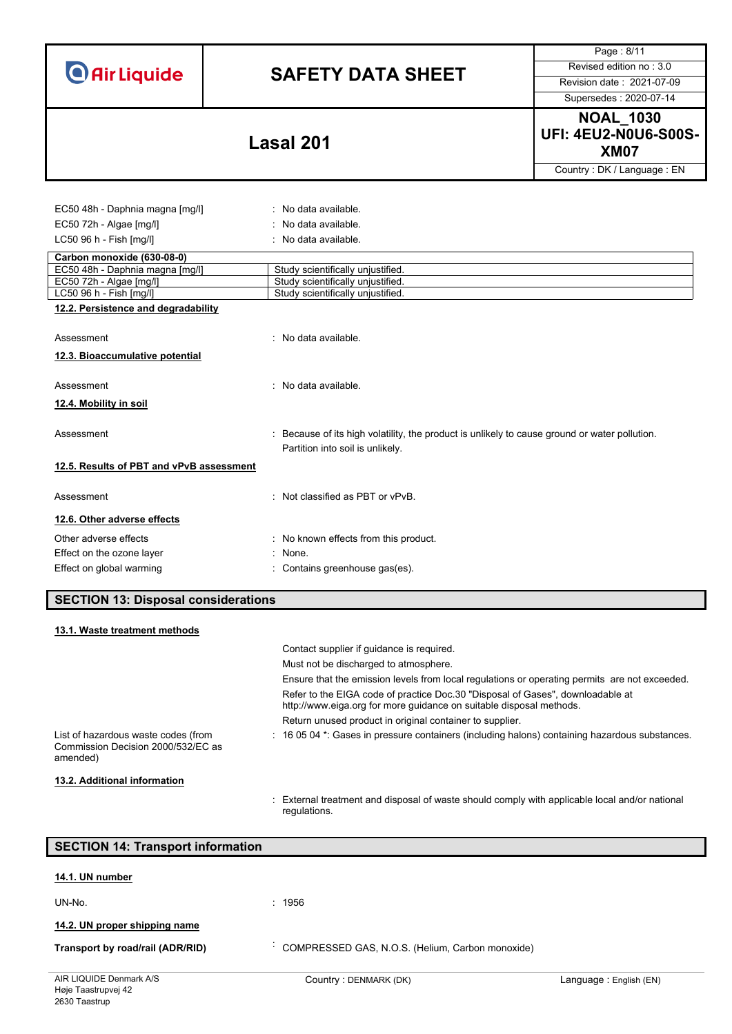# **SAFETY DATA SHEET** Revised edition no : 3.0

Page : 8/11

Supersedes : 2020-07-14

**NOAL\_1030 UFI: 4EU2-N0U6-S00S-XM07 Lasal 201**

Country : DK / Language : EN

| EC50 48h - Daphnia magna [mg/l]          | : No data available.                                                                        |
|------------------------------------------|---------------------------------------------------------------------------------------------|
| EC50 72h - Algae [mg/l]                  | : No data available.                                                                        |
| LC50 96 h - Fish [mg/l]                  | : No data available.                                                                        |
| Carbon monoxide (630-08-0)               |                                                                                             |
| EC50 48h - Daphnia magna [mg/l]          | Study scientifically unjustified.                                                           |
| EC50 72h - Algae [mg/l]                  | Study scientifically unjustified.                                                           |
| LC50 96 h - Fish [mg/l]                  | Study scientifically unjustified.                                                           |
| 12.2. Persistence and degradability      |                                                                                             |
|                                          |                                                                                             |
| Assessment                               | : No data available.                                                                        |
| 12.3. Bioaccumulative potential          |                                                                                             |
|                                          |                                                                                             |
| Assessment                               | : No data available.                                                                        |
| 12.4. Mobility in soil                   |                                                                                             |
|                                          |                                                                                             |
| Assessment                               | Because of its high volatility, the product is unlikely to cause ground or water pollution. |
|                                          | Partition into soil is unlikely.                                                            |
| 12.5. Results of PBT and vPvB assessment |                                                                                             |
|                                          |                                                                                             |
| Assessment                               | : Not classified as PBT or vPvB.                                                            |
| 12.6. Other adverse effects              |                                                                                             |
|                                          |                                                                                             |
| Other adverse effects                    | : No known effects from this product.                                                       |
| Effect on the ozone layer                | : None.                                                                                     |
| Effect on global warming                 | : Contains greenhouse gas(es).                                                              |
|                                          |                                                                                             |

**SECTION 13: Disposal considerations**

| 13.1. Waste treatment methods                                                         |                                                                                                                                                       |
|---------------------------------------------------------------------------------------|-------------------------------------------------------------------------------------------------------------------------------------------------------|
|                                                                                       | Contact supplier if quidance is required.                                                                                                             |
|                                                                                       | Must not be discharged to atmosphere.                                                                                                                 |
|                                                                                       | Ensure that the emission levels from local regulations or operating permits are not exceeded.                                                         |
|                                                                                       | Refer to the EIGA code of practice Doc.30 "Disposal of Gases", downloadable at<br>http://www.eiga.org for more guidance on suitable disposal methods. |
|                                                                                       | Return unused product in original container to supplier.                                                                                              |
| List of hazardous waste codes (from<br>Commission Decision 2000/532/EC as<br>amended) | $\pm$ 16 05 04 $^{\star}$ . Gases in pressure containers (including halons) containing hazardous substances.                                          |
| 13.2. Additional information                                                          |                                                                                                                                                       |
|                                                                                       | : External treatment and disposal of waste should comply with applicable local and/or national                                                        |

| <b>SECTION 14: Transport information</b> |                                                  |                        |
|------------------------------------------|--------------------------------------------------|------------------------|
| 14.1. UN number                          |                                                  |                        |
| UN-No.                                   | : 1956                                           |                        |
| 14.2. UN proper shipping name            |                                                  |                        |
| Transport by road/rail (ADR/RID)         | COMPRESSED GAS, N.O.S. (Helium, Carbon monoxide) |                        |
| AIR LIQUIDE Denmark A/S                  | Country: DENMARK (DK)                            | Language: English (EN) |

regulations.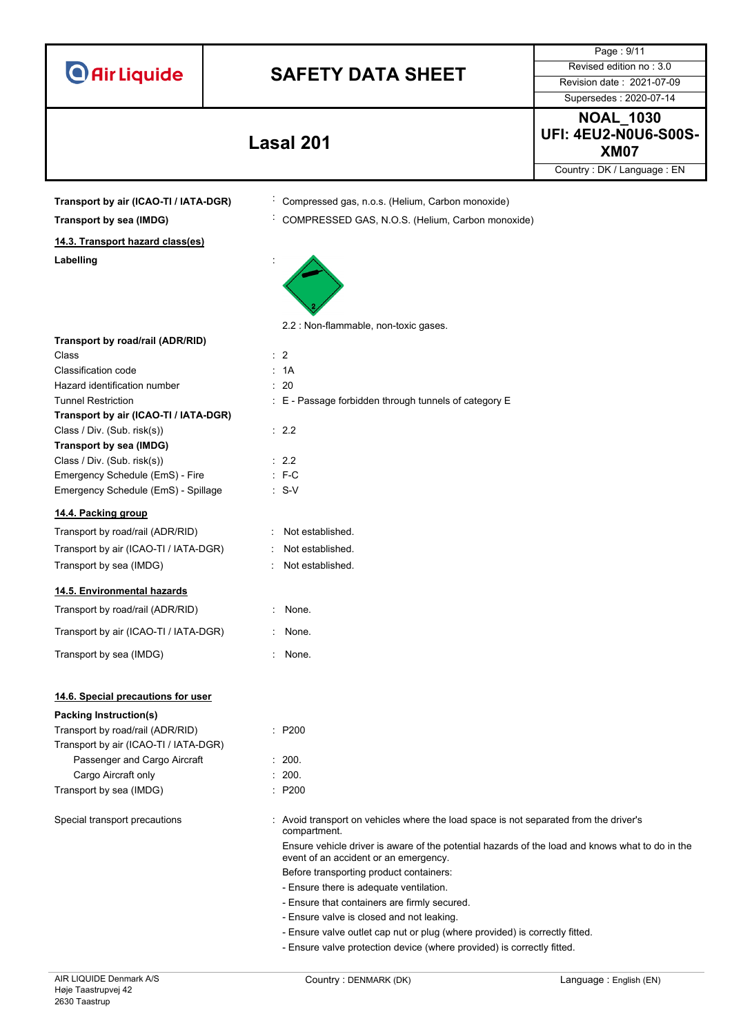|                                                                |                                                                                                                          | Page: 9/11                                                                                      |
|----------------------------------------------------------------|--------------------------------------------------------------------------------------------------------------------------|-------------------------------------------------------------------------------------------------|
|                                                                |                                                                                                                          | Revised edition no: 3.0                                                                         |
| <b>O</b> Air Liquide                                           | <b>SAFETY DATA SHEET</b>                                                                                                 | Revision date: 2021-07-09                                                                       |
|                                                                |                                                                                                                          | Supersedes: 2020-07-14                                                                          |
|                                                                |                                                                                                                          | <b>NOAL_1030</b>                                                                                |
|                                                                | <b>Lasal 201</b>                                                                                                         | <b>UFI: 4EU2-N0U6-S00S-</b><br><b>XM07</b>                                                      |
|                                                                |                                                                                                                          | Country: DK / Language: EN                                                                      |
|                                                                |                                                                                                                          |                                                                                                 |
| Transport by air (ICAO-TI / IATA-DGR)                          | Compressed gas, n.o.s. (Helium, Carbon monoxide)                                                                         |                                                                                                 |
| Transport by sea (IMDG)                                        | COMPRESSED GAS, N.O.S. (Helium, Carbon monoxide)                                                                         |                                                                                                 |
| 14.3. Transport hazard class(es)                               |                                                                                                                          |                                                                                                 |
| Labelling                                                      |                                                                                                                          |                                                                                                 |
|                                                                | 2.2 : Non-flammable, non-toxic gases.                                                                                    |                                                                                                 |
| Transport by road/rail (ADR/RID)                               |                                                                                                                          |                                                                                                 |
| Class<br>Classification code                                   | $\therefore$ 2<br>: 1A                                                                                                   |                                                                                                 |
| Hazard identification number                                   | : 20                                                                                                                     |                                                                                                 |
| <b>Tunnel Restriction</b>                                      | : E - Passage forbidden through tunnels of category E                                                                    |                                                                                                 |
| Transport by air (ICAO-TI / IATA-DGR)                          |                                                                                                                          |                                                                                                 |
| Class / Div. (Sub. risk(s))                                    | : 2.2                                                                                                                    |                                                                                                 |
| Transport by sea (IMDG)                                        |                                                                                                                          |                                                                                                 |
| Class / Div. (Sub. risk(s))<br>Emergency Schedule (EmS) - Fire | $\therefore$ 2.2<br>$: F-C$                                                                                              |                                                                                                 |
| Emergency Schedule (EmS) - Spillage                            | $\therefore$ S-V                                                                                                         |                                                                                                 |
|                                                                |                                                                                                                          |                                                                                                 |
| 14.4. Packing group                                            |                                                                                                                          |                                                                                                 |
| Transport by road/rail (ADR/RID)                               | Not established.                                                                                                         |                                                                                                 |
| Transport by air (ICAO-TI / IATA-DGR)                          | Not established.                                                                                                         |                                                                                                 |
| Transport by sea (IMDG)                                        | Not established.                                                                                                         |                                                                                                 |
| 14.5. Environmental hazards                                    |                                                                                                                          |                                                                                                 |
| Transport by road/rail (ADR/RID)                               | None.                                                                                                                    |                                                                                                 |
| Transport by air (ICAO-TI / IATA-DGR)                          | : None.                                                                                                                  |                                                                                                 |
| Transport by sea (IMDG)                                        | : None.                                                                                                                  |                                                                                                 |
| 14.6. Special precautions for user                             |                                                                                                                          |                                                                                                 |
| Packing Instruction(s)                                         |                                                                                                                          |                                                                                                 |
| Transport by road/rail (ADR/RID)                               | : P200                                                                                                                   |                                                                                                 |
| Transport by air (ICAO-TI / IATA-DGR)                          |                                                                                                                          |                                                                                                 |
| Passenger and Cargo Aircraft                                   | : 200.                                                                                                                   |                                                                                                 |
| Cargo Aircraft only                                            | : 200.                                                                                                                   |                                                                                                 |
| Transport by sea (IMDG)                                        | : P200                                                                                                                   |                                                                                                 |
| Special transport precautions                                  | Avoid transport on vehicles where the load space is not separated from the driver's<br>compartment.                      |                                                                                                 |
|                                                                | event of an accident or an emergency.                                                                                    | Ensure vehicle driver is aware of the potential hazards of the load and knows what to do in the |
|                                                                | Before transporting product containers:                                                                                  |                                                                                                 |
|                                                                | - Ensure there is adequate ventilation.                                                                                  |                                                                                                 |
|                                                                | - Ensure that containers are firmly secured.                                                                             |                                                                                                 |
|                                                                | - Ensure valve is closed and not leaking.<br>- Ensure valve outlet cap nut or plug (where provided) is correctly fitted. |                                                                                                 |
|                                                                | - Ensure valve protection device (where provided) is correctly fitted.                                                   |                                                                                                 |
|                                                                |                                                                                                                          |                                                                                                 |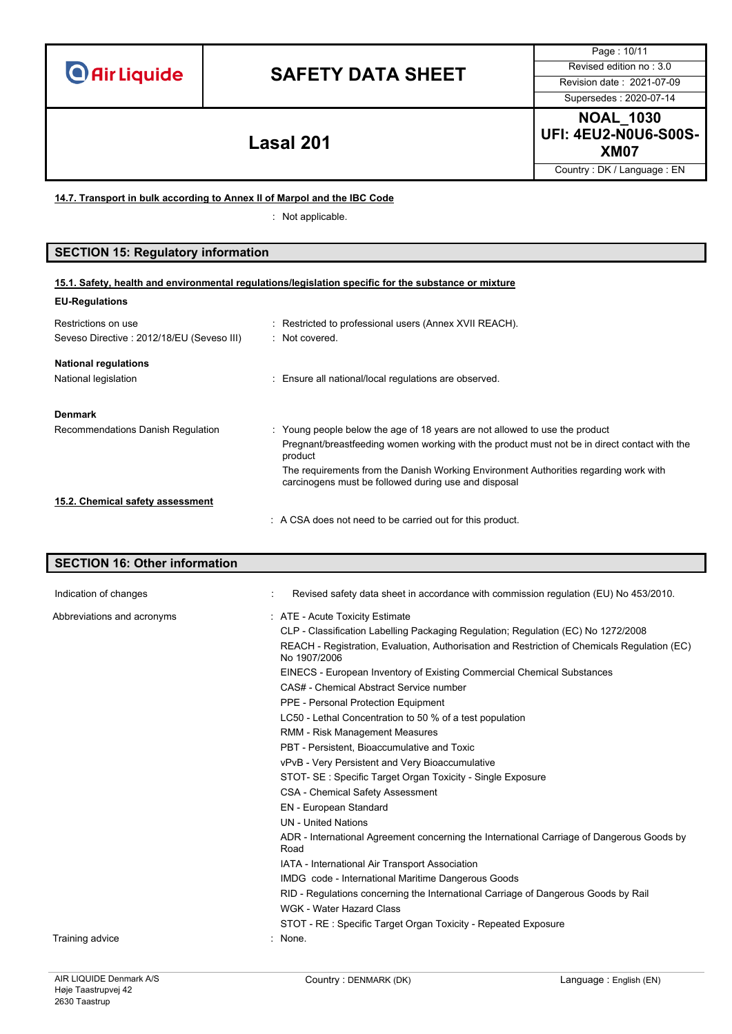# **SAFETY DATA SHEET** Revised edition no : 3.0

Page : 10/11 Supersedes : 2020-07-14

**15.1. Safety, health and environmental regulations/legislation specific for the substance or mixture**

**NOAL\_1030 UFI: 4EU2-N0U6-S00S-XM07 Lasal 201**

Country : DK / Language : EN

**14.7. Transport in bulk according to Annex II of Marpol and the IBC Code**

: Not applicable.

## **SECTION 15: Regulatory information**

| <b>EU-Regulations</b>                                             |                                                                                                                                              |
|-------------------------------------------------------------------|----------------------------------------------------------------------------------------------------------------------------------------------|
| Restrictions on use<br>Seveso Directive : 2012/18/EU (Seveso III) | Restricted to professional users (Annex XVII REACH).<br>· Not covered                                                                        |
| <b>National regulations</b>                                       |                                                                                                                                              |
| National legislation                                              | : Ensure all national/local regulations are observed.                                                                                        |
| <b>Denmark</b>                                                    |                                                                                                                                              |
| Recommendations Danish Regulation                                 | : Young people below the age of 18 years are not allowed to use the product                                                                  |
|                                                                   | Pregnant/breastfeeding women working with the product must not be in direct contact with the<br>product                                      |
|                                                                   | The requirements from the Danish Working Environment Authorities regarding work with<br>carcinogens must be followed during use and disposal |
| 15.2. Chemical safety assessment                                  |                                                                                                                                              |
|                                                                   | A CSA does not need to be carried out for this product.                                                                                      |

# **SECTION 16: Other information** Indication of changes **interview in the Changes** of Changes in accordance with commission regulation (EU) No 453/2010. Abbreviations and acronyms : ATE - Acute Toxicity Estimate CLP - Classification Labelling Packaging Regulation; Regulation (EC) No 1272/2008 REACH - Registration, Evaluation, Authorisation and Restriction of Chemicals Regulation (EC) No 1907/2006 EINECS - European Inventory of Existing Commercial Chemical Substances CAS# - Chemical Abstract Service number PPE - Personal Protection Equipment LC50 - Lethal Concentration to 50 % of a test population RMM - Risk Management Measures PBT - Persistent, Bioaccumulative and Toxic vPvB - Very Persistent and Very Bioaccumulative STOT- SE : Specific Target Organ Toxicity - Single Exposure CSA - Chemical Safety Assessment EN - European Standard UN - United Nations ADR - International Agreement concerning the International Carriage of Dangerous Goods by Road IATA - International Air Transport Association IMDG code - International Maritime Dangerous Goods RID - Regulations concerning the International Carriage of Dangerous Goods by Rail WGK - Water Hazard Class STOT - RE : Specific Target Organ Toxicity - Repeated Exposure Training advice in the set of the set of the set of the set of the set of the set of the set of the set of the set of the set of the set of the set of the set of the set of the set of the set of the set of the set of the s

AIR LIQUIDE Denmark A/S Høie Taastrupvej 42 2630 Taastrup